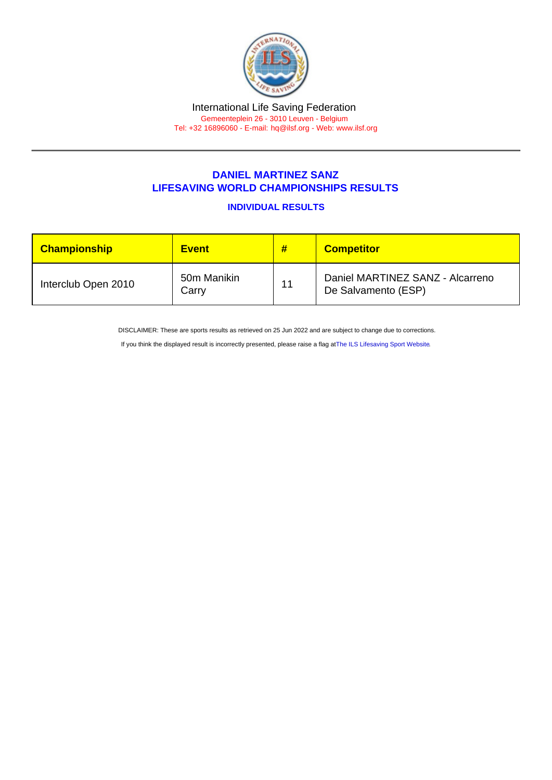## DANIEL MARTINEZ SANZ LIFESAVING WORLD CHAMPIONSHIPS RESULTS

INDIVIDUAL RESULTS

| <b>Championship</b> | <b>Event</b>         | #  | <b>Competitor</b>                                       |
|---------------------|----------------------|----|---------------------------------------------------------|
| Interclub Open 2010 | 50m Manikin<br>Carry | 11 | Daniel MARTINEZ SANZ - Alcarreno<br>De Salvamento (ESP) |

DISCLAIMER: These are sports results as retrieved on 25 Jun 2022 and are subject to change due to corrections.

If you think the displayed result is incorrectly presented, please raise a flag at [The ILS Lifesaving Sport Website.](https://sport.ilsf.org)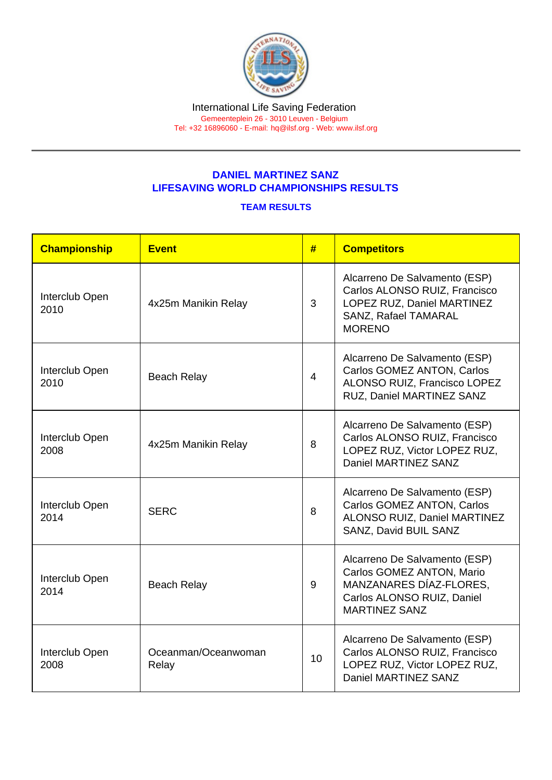## DANIEL MARTINEZ SANZ LIFESAVING WORLD CHAMPIONSHIPS RESULTS

## TEAM RESULTS

| Championship           | <b>Event</b>                 | #              | <b>Competitors</b>                                                                                                                          |
|------------------------|------------------------------|----------------|---------------------------------------------------------------------------------------------------------------------------------------------|
| Interclub Open<br>2010 | 4x25m Manikin Relay          | 3              | Alcarreno De Salvamento (ESP)<br>Carlos ALONSO RUIZ, Francisco<br>LOPEZ RUZ, Daniel MARTINEZ<br>SANZ, Rafael TAMARAL<br><b>MORENO</b>       |
| Interclub Open<br>2010 | <b>Beach Relay</b>           | $\overline{4}$ | Alcarreno De Salvamento (ESP)<br>Carlos GOMEZ ANTON, Carlos<br>ALONSO RUIZ, Francisco LOPEZ<br>RUZ, Daniel MARTINEZ SANZ                    |
| Interclub Open<br>2008 | 4x25m Manikin Relay          | 8              | Alcarreno De Salvamento (ESP)<br>Carlos ALONSO RUIZ, Francisco<br>LOPEZ RUZ, Victor LOPEZ RUZ,<br>Daniel MARTINEZ SANZ                      |
| Interclub Open<br>2014 | <b>SERC</b>                  | 8              | Alcarreno De Salvamento (ESP)<br>Carlos GOMEZ ANTON, Carlos<br><b>ALONSO RUIZ, Daniel MARTINEZ</b><br>SANZ, David BUIL SANZ                 |
| Interclub Open<br>2014 | <b>Beach Relay</b>           | 9              | Alcarreno De Salvamento (ESP)<br>Carlos GOMEZ ANTON, Mario<br>MANZANARES DÍAZ-FLORES,<br>Carlos ALONSO RUIZ, Daniel<br><b>MARTINEZ SANZ</b> |
| Interclub Open<br>2008 | Oceanman/Oceanwoman<br>Relay | 10             | Alcarreno De Salvamento (ESP)<br>Carlos ALONSO RUIZ, Francisco<br>LOPEZ RUZ, Victor LOPEZ RUZ,<br>Daniel MARTINEZ SANZ                      |